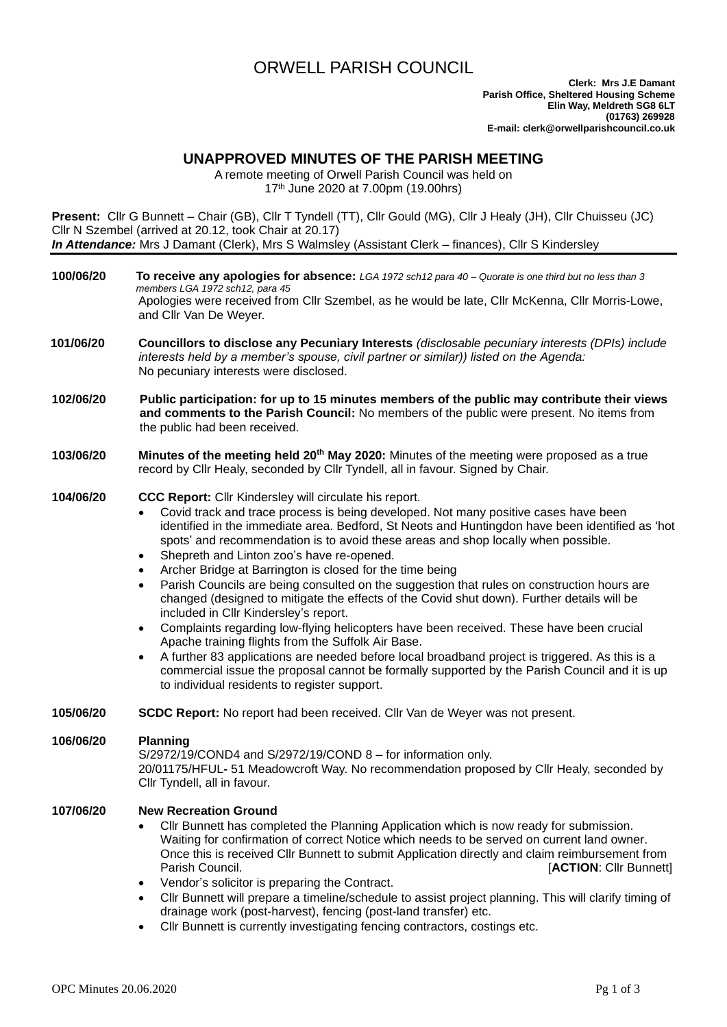# ORWELL PARISH COUNCIL

## **UNAPPROVED MINUTES OF THE PARISH MEETING**

A remote meeting of Orwell Parish Council was held on 17th June 2020 at 7.00pm (19.00hrs)

**Present:** Cllr G Bunnett – Chair (GB), Cllr T Tyndell (TT), Cllr Gould (MG), Cllr J Healy (JH), Cllr Chuisseu (JC) Cllr N Szembel (arrived at 20.12, took Chair at 20.17) *In Attendance:* Mrs J Damant (Clerk), Mrs S Walmsley (Assistant Clerk – finances), Cllr S Kindersley

**100/06/20 To receive any apologies for absence:** *LGA 1972 sch12 para 40 – Quorate is one third but no less than 3 members LGA 1972 sch12, para 45* Apologies were received from Cllr Szembel, as he would be late, Cllr McKenna, Cllr Morris-Lowe, and Cllr Van De Weyer. **101/06/20 Councillors to disclose any Pecuniary Interests** *(disclosable pecuniary interests (DPIs) include interests held by a member's spouse, civil partner or similar)) listed on the Agenda:* No pecuniary interests were disclosed. **102/06/20 Public participation: for up to 15 minutes members of the public may contribute their views and comments to the Parish Council:** No members of the public were present. No items from the public had been received. **103/06/20 Minutes of the meeting held 20th May 2020:** Minutes of the meeting were proposed as a true record by Cllr Healy, seconded by Cllr Tyndell, all in favour. Signed by Chair. **104/06/20 CCC Report:** Cllr Kindersley will circulate his report. • Covid track and trace process is being developed. Not many positive cases have been identified in the immediate area. Bedford, St Neots and Huntingdon have been identified as 'hot spots' and recommendation is to avoid these areas and shop locally when possible. Shepreth and Linton zoo's have re-opened. • Archer Bridge at Barrington is closed for the time being • Parish Councils are being consulted on the suggestion that rules on construction hours are changed (designed to mitigate the effects of the Covid shut down). Further details will be included in Cllr Kindersley's report. • Complaints regarding low-flying helicopters have been received. These have been crucial Apache training flights from the Suffolk Air Base. • A further 83 applications are needed before local broadband project is triggered. As this is a commercial issue the proposal cannot be formally supported by the Parish Council and it is up to individual residents to register support. **105/06/20 SCDC Report:** No report had been received. Cllr Van de Weyer was not present. **106/06/20 Planning** S/2972/19/COND4 and S/2972/19/COND 8 – for information only. 20/01175/HFUL**-** 51 Meadowcroft Way. No recommendation proposed by Cllr Healy, seconded by Cllr Tyndell, all in favour. **107/06/20 New Recreation Ground** • Cllr Bunnett has completed the Planning Application which is now ready for submission. Waiting for confirmation of correct Notice which needs to be served on current land owner. Once this is received Cllr Bunnett to submit Application directly and claim reimbursement from Parish Council. [**ACTION**: Cllr Bunnett] • Vendor's solicitor is preparing the Contract. • Cllr Bunnett will prepare a timeline/schedule to assist project planning. This will clarify timing of drainage work (post-harvest), fencing (post-land transfer) etc. • Cllr Bunnett is currently investigating fencing contractors, costings etc.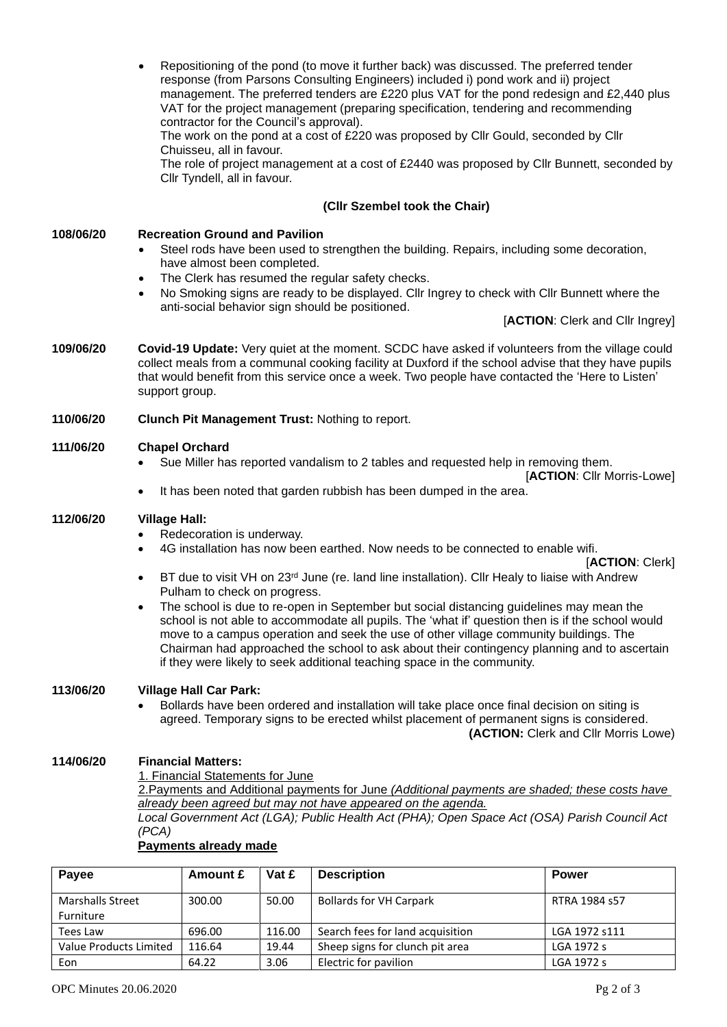• Repositioning of the pond (to move it further back) was discussed. The preferred tender response (from Parsons Consulting Engineers) included i) pond work and ii) project management. The preferred tenders are £220 plus VAT for the pond redesign and £2,440 plus VAT for the project management (preparing specification, tendering and recommending contractor for the Council's approval).

The work on the pond at a cost of £220 was proposed by Cllr Gould, seconded by Cllr Chuisseu, all in favour.

The role of project management at a cost of £2440 was proposed by Cllr Bunnett, seconded by Cllr Tyndell, all in favour.

#### **(Cllr Szembel took the Chair)**

#### **108/06/20 Recreation Ground and Pavilion**

- Steel rods have been used to strengthen the building. Repairs, including some decoration, have almost been completed.
- The Clerk has resumed the regular safety checks.
- No Smoking signs are ready to be displayed. Cllr Ingrey to check with Cllr Bunnett where the anti-social behavior sign should be positioned.

[**ACTION**: Clerk and Cllr Ingrey]

**109/06/20 Covid-19 Update:** Very quiet at the moment. SCDC have asked if volunteers from the village could collect meals from a communal cooking facility at Duxford if the school advise that they have pupils that would benefit from this service once a week. Two people have contacted the 'Here to Listen' support group.

#### **110/06/20 Clunch Pit Management Trust:** Nothing to report.

#### **111/06/20 Chapel Orchard**

• Sue Miller has reported vandalism to 2 tables and requested help in removing them.

[**ACTION**: Cllr Morris-Lowe]

It has been noted that garden rubbish has been dumped in the area.

#### **112/06/20 Village Hall:**

- Redecoration is underway.
- 4G installation has now been earthed. Now needs to be connected to enable wifi.

[**ACTION**: Clerk]

- BT due to visit VH on  $23^{rd}$  June (re. land line installation). Cllr Healy to liaise with Andrew Pulham to check on progress.
- The school is due to re-open in September but social distancing guidelines may mean the school is not able to accommodate all pupils. The 'what if' question then is if the school would move to a campus operation and seek the use of other village community buildings. The Chairman had approached the school to ask about their contingency planning and to ascertain if they were likely to seek additional teaching space in the community.

#### **113/06/20 Village Hall Car Park:**

• Bollards have been ordered and installation will take place once final decision on siting is agreed. Temporary signs to be erected whilst placement of permanent signs is considered.

**(ACTION:** Clerk and Cllr Morris Lowe)

#### **114/06/20 Financial Matters:**

1. Financial Statements for June

2.Payments and Additional payments for June *(Additional payments are shaded; these costs have already been agreed but may not have appeared on the agenda.*

*Local Government Act (LGA); Public Health Act (PHA); Open Space Act (OSA) Parish Council Act (PCA)*

#### **Payments already made**

| <b>Pavee</b>            | Amount £ | Vat £  | <b>Description</b>               | <b>Power</b>  |
|-------------------------|----------|--------|----------------------------------|---------------|
| <b>Marshalls Street</b> | 300.00   | 50.00  | <b>Bollards for VH Carpark</b>   | RTRA 1984 s57 |
| Furniture               |          |        |                                  |               |
| Tees Law                | 696.00   | 116.00 | Search fees for land acquisition | LGA 1972 s111 |
| Value Products Limited  | 116.64   | 19.44  | Sheep signs for clunch pit area  | LGA 1972 s    |
| Eon                     | 64.22    | 3.06   | Electric for pavilion            | LGA 1972 s    |